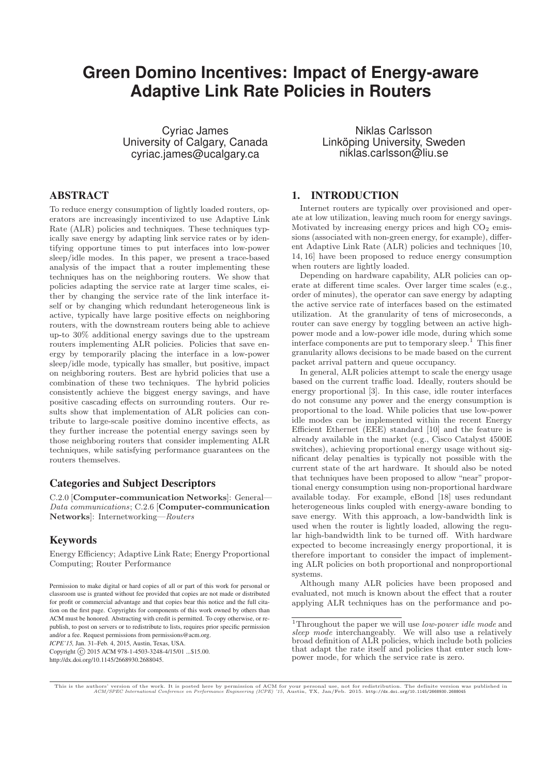# **Green Domino Incentives: Impact of Energy-aware Adaptive Link Rate Policies in Routers**

Cyriac James University of Calgary, Canada cyriac.james@ucalgary.ca

# **ABSTRACT**

To reduce energy consumption of lightly loaded routers, operators are increasingly incentivized to use Adaptive Link Rate (ALR) policies and techniques. These techniques typically save energy by adapting link service rates or by identifying opportune times to put interfaces into low-power sleep/idle modes. In this paper, we present a trace-based analysis of the impact that a router implementing these techniques has on the neighboring routers. We show that policies adapting the service rate at larger time scales, either by changing the service rate of the link interface itself or by changing which redundant heterogeneous link is active, typically have large positive effects on neighboring routers, with the downstream routers being able to achieve up-to 30% additional energy savings due to the upstream routers implementing ALR policies. Policies that save energy by temporarily placing the interface in a low-power sleep/idle mode, typically has smaller, but positive, impact on neighboring routers. Best are hybrid policies that use a combination of these two techniques. The hybrid policies consistently achieve the biggest energy savings, and have positive cascading effects on surrounding routers. Our results show that implementation of ALR policies can contribute to large-scale positive domino incentive effects, as they further increase the potential energy savings seen by those neighboring routers that consider implementing ALR techniques, while satisfying performance guarantees on the routers themselves.

## **Categories and Subject Descriptors**

C.2.0 [Computer-communication Networks]: General— *Data communications*; C.2.6 [Computer-communication Networks]: Internetworking—*Routers*

# **Keywords**

Energy Efficiency; Adaptive Link Rate; Energy Proportional Computing; Router Performance

Niklas Carlsson Linköping University, Sweden niklas.carlsson@liu.se

# **1. INTRODUCTION**

Internet routers are typically over provisioned and operate at low utilization, leaving much room for energy savings. Motivated by increasing energy prices and high  $CO<sub>2</sub>$  emissions (associated with non-green energy, for example), different Adaptive Link Rate (ALR) policies and techniques [10, 14, 16] have been proposed to reduce energy consumption when routers are lightly loaded.

Depending on hardware capability, ALR policies can operate at different time scales. Over larger time scales (e.g., order of minutes), the operator can save energy by adapting the active service rate of interfaces based on the estimated utilization. At the granularity of tens of microseconds, a router can save energy by toggling between an active highpower mode and a low-power idle mode, during which some interface components are put to temporary sleep.<sup>1</sup> This finer granularity allows decisions to be made based on the current packet arrival pattern and queue occupancy.

In general, ALR policies attempt to scale the energy usage based on the current traffic load. Ideally, routers should be energy proportional [3]. In this case, idle router interfaces do not consume any power and the energy consumption is proportional to the load. While policies that use low-power idle modes can be implemented within the recent Energy Efficient Ethernet (EEE) standard [10] and the feature is already available in the market (e.g., Cisco Catalyst 4500E switches), achieving proportional energy usage without significant delay penalties is typically not possible with the current state of the art hardware. It should also be noted that techniques have been proposed to allow "near" proportional energy consumption using non-proportional hardware available today. For example, eBond [18] uses redundant heterogeneous links coupled with energy-aware bonding to save energy. With this approach, a low-bandwidth link is used when the router is lightly loaded, allowing the regular high-bandwidth link to be turned off. With hardware expected to become increasingly energy proportional, it is therefore important to consider the impact of implementing ALR policies on both proportional and nonproportional systems.

Although many ALR policies have been proposed and evaluated, not much is known about the effect that a router applying ALR techniques has on the performance and po-

Permission to make digital or hard copies of all or part of this work for personal or classroom use is granted without fee provided that copies are not made or distributed for profit or commercial advantage and that copies bear this notice and the full citation on the first page. Copyrights for components of this work owned by others than ACM must be honored. Abstracting with credit is permitted. To copy otherwise, or republish, to post on servers or to redistribute to lists, requires prior specific permission and/or a fee. Request permissions from permissions@acm.org. *ICPE'15,* Jan. 31–Feb. 4, 2015, Austin, Texas, USA. Copyright C 2015 ACM 978-1-4503-3248-4/15/01 ... \$15.00. http://dx.doi.org/10.1145/2668930.2688045.

<sup>1</sup>Throughout the paper we will use *low-power idle mode* and *sleep mode* interchangeably. We will also use a relatively broad definition of ALR policies, which include both policies that adapt the rate itself and policies that enter such lowpower mode, for which the service rate is zero.

This is the authors' version of the work. It is posted here by permission of ACM for your personal use, not for redistribution. The definite version was published in ACM/SPEC International Conference on Performance Enginee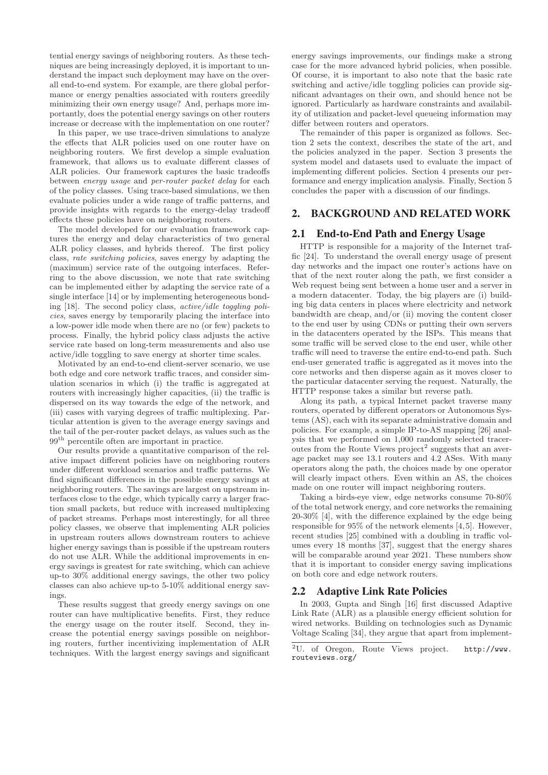tential energy savings of neighboring routers. As these techniques are being increasingly deployed, it is important to understand the impact such deployment may have on the overall end-to-end system. For example, are there global performance or energy penalties associated with routers greedily minimizing their own energy usage? And, perhaps more importantly, does the potential energy savings on other routers increase or decrease with the implementation on one router?

In this paper, we use trace-driven simulations to analyze the effects that ALR policies used on one router have on neighboring routers. We first develop a simple evaluation framework, that allows us to evaluate different classes of ALR policies. Our framework captures the basic tradeoffs between *energy usage* and *per-router packet delay* for each of the policy classes. Using trace-based simulations, we then evaluate policies under a wide range of traffic patterns, and provide insights with regards to the energy-delay tradeoff effects these policies have on neighboring routers.

The model developed for our evaluation framework captures the energy and delay characteristics of two general ALR policy classes, and hybrids thereof. The first policy class, *rate switching policies*, saves energy by adapting the (maximum) service rate of the outgoing interfaces. Referring to the above discussion, we note that rate switching can be implemented either by adapting the service rate of a single interface [14] or by implementing heterogeneous bonding [18]. The second policy class, *active/idle toggling policies*, saves energy by temporarily placing the interface into a low-power idle mode when there are no (or few) packets to process. Finally, the hybrid policy class adjusts the active service rate based on long-term measurements and also use active/idle toggling to save energy at shorter time scales.

Motivated by an end-to-end client-server scenario, we use both edge and core network traffic traces, and consider simulation scenarios in which (i) the traffic is aggregated at routers with increasingly higher capacities, (ii) the traffic is dispersed on its way towards the edge of the network, and (iii) cases with varying degrees of traffic multiplexing. Particular attention is given to the average energy savings and the tail of the per-router packet delays, as values such as the 99th percentile often are important in practice.

Our results provide a quantitative comparison of the relative impact different policies have on neighboring routers under different workload scenarios and traffic patterns. We find significant differences in the possible energy savings at neighboring routers. The savings are largest on upstream interfaces close to the edge, which typically carry a larger fraction small packets, but reduce with increased multiplexing of packet streams. Perhaps most interestingly, for all three policy classes, we observe that implementing ALR policies in upstream routers allows downstream routers to achieve higher energy savings than is possible if the upstream routers do not use ALR. While the additional improvements in energy savings is greatest for rate switching, which can achieve up-to 30% additional energy savings, the other two policy classes can also achieve up-to 5-10% additional energy savings.

These results suggest that greedy energy savings on one router can have multiplicative benefits. First, they reduce the energy usage on the router itself. Second, they increase the potential energy savings possible on neighboring routers, further incentivizing implementation of ALR techniques. With the largest energy savings and significant

energy savings improvements, our findings make a strong case for the more advanced hybrid policies, when possible. Of course, it is important to also note that the basic rate switching and active/idle toggling policies can provide significant advantages on their own, and should hence not be ignored. Particularly as hardware constraints and availability of utilization and packet-level queueing information may differ between routers and operators.

The remainder of this paper is organized as follows. Section 2 sets the context, describes the state of the art, and the policies analyzed in the paper. Section 3 presents the system model and datasets used to evaluate the impact of implementing different policies. Section 4 presents our performance and energy implication analysis. Finally, Section 5 concludes the paper with a discussion of our findings.

# **2. BACKGROUND AND RELATED WORK**

## **2.1 End-to-End Path and Energy Usage**

HTTP is responsible for a majority of the Internet traffic [24]. To understand the overall energy usage of present day networks and the impact one router's actions have on that of the next router along the path, we first consider a Web request being sent between a home user and a server in a modern datacenter. Today, the big players are (i) building big data centers in places where electricity and network bandwidth are cheap, and/or (ii) moving the content closer to the end user by using CDNs or putting their own servers in the datacenters operated by the ISPs. This means that some traffic will be served close to the end user, while other traffic will need to traverse the entire end-to-end path. Such end-user generated traffic is aggregated as it moves into the core networks and then disperse again as it moves closer to the particular datacenter serving the request. Naturally, the HTTP response takes a similar but reverse path.

Along its path, a typical Internet packet traverse many routers, operated by different operators or Autonomous Systems (AS), each with its separate administrative domain and policies. For example, a simple IP-to-AS mapping [26] analysis that we performed on 1,000 randomly selected traceroutes from the Route Views project<sup>2</sup> suggests that an average packet may see 13.1 routers and 4.2 ASes. With many operators along the path, the choices made by one operator will clearly impact others. Even within an AS, the choices made on one router will impact neighboring routers.

Taking a birds-eye view, edge networks consume 70-80% of the total network energy, and core networks the remaining 20-30% [4], with the difference explained by the edge being responsible for 95% of the network elements [4,5]. However, recent studies [25] combined with a doubling in traffic volumes every 18 months [37], suggest that the energy shares will be comparable around year 2021. These numbers show that it is important to consider energy saving implications on both core and edge network routers.

# **2.2 Adaptive Link Rate Policies**

In 2003, Gupta and Singh [16] first discussed Adaptive Link Rate (ALR) as a plausible energy efficient solution for wired networks. Building on technologies such as Dynamic Voltage Scaling [34], they argue that apart from implement-

<sup>2</sup>U. of Oregon, Route Views project. http://www. routeviews.org/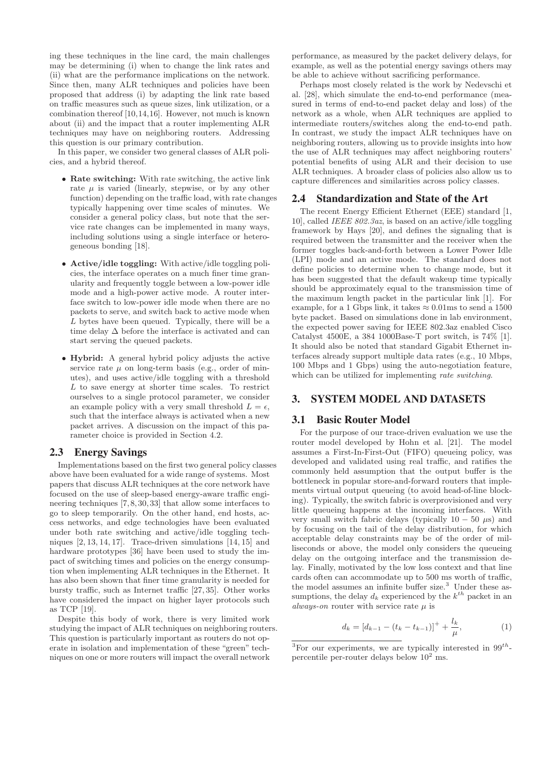ing these techniques in the line card, the main challenges may be determining (i) when to change the link rates and (ii) what are the performance implications on the network. Since then, many ALR techniques and policies have been proposed that address (i) by adapting the link rate based on traffic measures such as queue sizes, link utilization, or a combination thereof [10,14,16]. However, not much is known about (ii) and the impact that a router implementing ALR techniques may have on neighboring routers. Addressing this question is our primary contribution.

In this paper, we consider two general classes of ALR policies, and a hybrid thereof.

- Rate switching: With rate switching, the active link rate  $\mu$  is varied (linearly, stepwise, or by any other function) depending on the traffic load, with rate changes typically happening over time scales of minutes. We consider a general policy class, but note that the service rate changes can be implemented in many ways, including solutions using a single interface or heterogeneous bonding [18].
- Active/idle toggling: With active/idle toggling policies, the interface operates on a much finer time granularity and frequently toggle between a low-power idle mode and a high-power active mode. A router interface switch to low-power idle mode when there are no packets to serve, and switch back to active mode when L bytes have been queued. Typically, there will be a time delay ∆ before the interface is activated and can start serving the queued packets.
- Hybrid: A general hybrid policy adjusts the active service rate  $\mu$  on long-term basis (e.g., order of minutes), and uses active/idle toggling with a threshold L to save energy at shorter time scales. To restrict ourselves to a single protocol parameter, we consider an example policy with a very small threshold  $L = \epsilon$ , such that the interface always is activated when a new packet arrives. A discussion on the impact of this parameter choice is provided in Section 4.2.

# **2.3 Energy Savings**

Implementations based on the first two general policy classes above have been evaluated for a wide range of systems. Most papers that discuss ALR techniques at the core network have focused on the use of sleep-based energy-aware traffic engineering techniques [7, 8, 30, 33] that allow some interfaces to go to sleep temporarily. On the other hand, end hosts, access networks, and edge technologies have been evaluated under both rate switching and active/idle toggling techniques [2, 13, 14, 17]. Trace-driven simulations [14, 15] and hardware prototypes [36] have been used to study the impact of switching times and policies on the energy consumption when implementing ALR techniques in the Ethernet. It has also been shown that finer time granularity is needed for bursty traffic, such as Internet traffic [27, 35]. Other works have considered the impact on higher layer protocols such as TCP [19].

Despite this body of work, there is very limited work studying the impact of ALR techniques on neighboring routers. This question is particularly important as routers do not operate in isolation and implementation of these "green" techniques on one or more routers will impact the overall network

performance, as measured by the packet delivery delays, for example, as well as the potential energy savings others may be able to achieve without sacrificing performance.

Perhaps most closely related is the work by Nedevschi et al. [28], which simulate the end-to-end performance (measured in terms of end-to-end packet delay and loss) of the network as a whole, when ALR techniques are applied to intermediate routers/switches along the end-to-end path. In contrast, we study the impact ALR techniques have on neighboring routers, allowing us to provide insights into how the use of ALR techniques may affect neighboring routers' potential benefits of using ALR and their decision to use ALR techniques. A broader class of policies also allow us to capture differences and similarities across policy classes.

#### **2.4 Standardization and State of the Art**

The recent Energy Efficient Ethernet (EEE) standard [1, 10], called *IEEE 802.3az*, is based on an active/idle toggling framework by Hays [20], and defines the signaling that is required between the transmitter and the receiver when the former toggles back-and-forth between a Lower Power Idle (LPI) mode and an active mode. The standard does not define policies to determine when to change mode, but it has been suggested that the default wakeup time typically should be approximately equal to the transmission time of the maximum length packet in the particular link [1]. For example, for a 1 Gbps link, it takes  $\approx 0.01$ ms to send a 1500 byte packet. Based on simulations done in lab environment, the expected power saving for IEEE 802.3az enabled Cisco Catalyst 4500E, a 384 1000Base-T port switch, is 74% [1]. It should also be noted that standard Gigabit Ethernet interfaces already support multiple data rates (e.g., 10 Mbps, 100 Mbps and 1 Gbps) using the auto-negotiation feature, which can be utilized for implementing *rate switching*.

# **3. SYSTEM MODEL AND DATASETS**

#### **3.1 Basic Router Model**

For the purpose of our trace-driven evaluation we use the router model developed by Hohn et al. [21]. The model assumes a First-In-First-Out (FIFO) queueing policy, was developed and validated using real traffic, and ratifies the commonly held assumption that the output buffer is the bottleneck in popular store-and-forward routers that implements virtual output queueing (to avoid head-of-line blocking). Typically, the switch fabric is overprovisioned and very little queueing happens at the incoming interfaces. With very small switch fabric delays (typically  $10 - 50 \mu s$ ) and by focusing on the tail of the delay distribution, for which acceptable delay constraints may be of the order of milliseconds or above, the model only considers the queueing delay on the outgoing interface and the transmission delay. Finally, motivated by the low loss context and that line cards often can accommodate up to 500 ms worth of traffic, the model assumes an infinite buffer size.<sup>3</sup> Under these assumptions, the delay  $d_k$  experienced by the  $k^{th}$  packet in an *always-on* router with service rate  $\mu$  is

$$
d_k = [d_{k-1} - (t_k - t_{k-1})]^+ + \frac{l_k}{\mu}, \tag{1}
$$

<sup>3</sup>For our experiments, we are typically interested in  $99^{th}$ percentile per-router delays below  $10^2$  ms.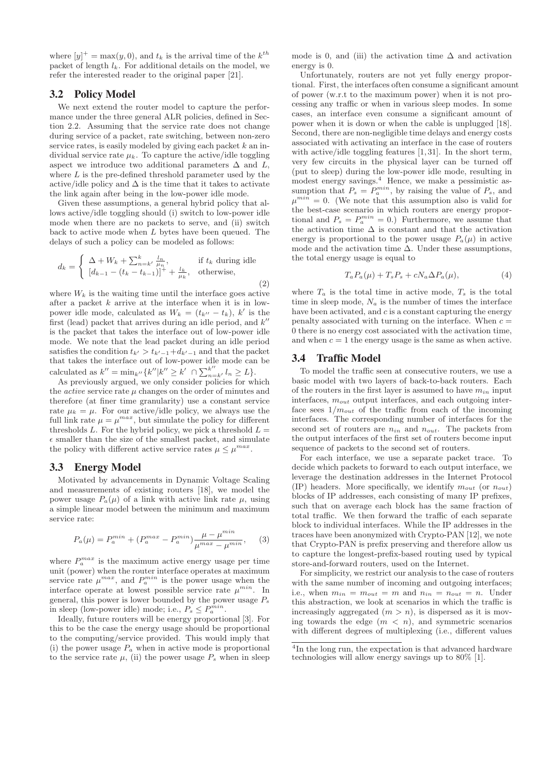where  $[y]^{+} = \max(y, 0)$ , and  $t_k$  is the arrival time of the  $k^{th}$ packet of length  $l_k$ . For additional details on the model, we refer the interested reader to the original paper [21].

#### **3.2 Policy Model**

We next extend the router model to capture the performance under the three general ALR policies, defined in Section 2.2. Assuming that the service rate does not change during service of a packet, rate switching, between non-zero service rates, is easily modeled by giving each packet  $k$  an individual service rate  $\mu_k$ . To capture the active/idle toggling aspect we introduce two additional parameters  $\Delta$  and L, where  $L$  is the pre-defined threshold parameter used by the active/idle policy and  $\Delta$  is the time that it takes to activate the link again after being in the low-power idle mode.

Given these assumptions, a general hybrid policy that allows active/idle toggling should (i) switch to low-power idle mode when there are no packets to serve, and (ii) switch back to active mode when L bytes have been queued. The delays of such a policy can be modeled as follows:

$$
d_k = \begin{cases} \Delta + W_k + \sum_{n=k'}^k \frac{l_n}{\mu_n}, & \text{if } t_k \text{ during idle} \\ \left[d_{k-1} - (t_k - t_{k-1})\right]^+ + \frac{l_k}{\mu_k}, & \text{otherwise,} \end{cases}
$$
(2)

where  $W_k$  is the waiting time until the interface goes active after a packet  $k$  arrive at the interface when it is in lowpower idle mode, calculated as  $W_k = (t_{k''} - t_k)$ , k' is the first (lead) packet that arrives during an idle period, and  $k''$ is the packet that takes the interface out of low-power idle mode. We note that the lead packet during an idle period satisfies the condition  $t_{k'} > t_{k'-1}+d_{k'-1}$  and that the packet that takes the interface out of low-power idle mode can be calculated as  $k'' = \min_{k''}{k''|k'' \ge k' \cap \sum_{n=k'}^{k''} l_n \ge L}.$ 

As previously argued, we only consider policies for which the *active* service rate  $\mu$  changes on the order of minutes and therefore (at finer time granularity) use a constant service rate  $\mu_k = \mu$ . For our active/idle policy, we always use the full link rate  $\mu = \mu^{max}$ , but simulate the policy for different thresholds L. For the hybrid policy, we pick a threshold  $L =$  $\epsilon$  smaller than the size of the smallest packet, and simulate the policy with different active service rates  $\mu \leq \mu^{max}$ .

## **3.3 Energy Model**

Motivated by advancements in Dynamic Voltage Scaling and measurements of existing routers [18], we model the power usage  $P_a(\mu)$  of a link with active link rate  $\mu$ , using a simple linear model between the minimum and maximum service rate:

$$
P_a(\mu) = P_a^{min} + (P_a^{max} - P_a^{min}) \frac{\mu - \mu^{min}}{\mu^{max} - \mu^{min}},
$$
 (3)

where  $P_a^{max}$  is the maximum active energy usage per time unit (power) when the router interface operates at maximum service rate  $\mu^{max}$ , and  $P_a^{min}$  is the power usage when the interface operate at lowest possible service rate  $\mu^{min}$ . In general, this power is lower bounded by the power usage  $P_s$ in sleep (low-power idle) mode; i.e.,  $P_s \le P_a^{min}$ .

Ideally, future routers will be energy proportional [3]. For this to be the case the energy usage should be proportional to the computing/service provided. This would imply that (i) the power usage  $P_a$  when in active mode is proportional to the service rate  $\mu$ , (ii) the power usage  $P_s$  when in sleep

mode is 0, and (iii) the activation time  $\Delta$  and activation energy is 0.

Unfortunately, routers are not yet fully energy proportional. First, the interfaces often consume a significant amount of power (w.r.t to the maximum power) when it is not processing any traffic or when in various sleep modes. In some cases, an interface even consume a significant amount of power when it is down or when the cable is unplugged [18]. Second, there are non-negligible time delays and energy costs associated with activating an interface in the case of routers with active/idle toggling features [1, 31]. In the short term, very few circuits in the physical layer can be turned off (put to sleep) during the low-power idle mode, resulting in modest energy savings.<sup>4</sup> Hence, we make a pessimistic assumption that  $P_s = P_a^{min}$ , by raising the value of  $P_s$ , and  $\mu^{min} = 0$ . (We note that this assumption also is valid for the best-case scenario in which routers are energy proportional and  $P_s = P_a^{min} = 0$ .) Furthermore, we assume that the activation time  $\Delta$  is constant and that the activation energy is proportional to the power usage  $P_a(\mu)$  in active mode and the activation time  $\Delta$ . Under these assumptions, the total energy usage is equal to

$$
T_a P_a(\mu) + T_s P_s + c N_a \Delta P_a(\mu), \qquad (4)
$$

where  $T_a$  is the total time in active mode,  $T_s$  is the total time in sleep mode,  $N_a$  is the number of times the interface have been activated, and  $c$  is a constant capturing the energy penalty associated with turning on the interface. When  $c =$ 0 there is no energy cost associated with the activation time, and when  $c = 1$  the energy usage is the same as when active.

#### **3.4 Traffic Model**

To model the traffic seen at consecutive routers, we use a basic model with two layers of back-to-back routers. Each of the routers in the first layer is assumed to have  $m_{in}$  input interfaces,  $m_{out}$  output interfaces, and each outgoing interface sees  $1/m_{out}$  of the traffic from each of the incoming interfaces. The corresponding number of interfaces for the second set of routers are  $n_{in}$  and  $n_{out}$ . The packets from the output interfaces of the first set of routers become input sequence of packets to the second set of routers.

For each interface, we use a separate packet trace. To decide which packets to forward to each output interface, we leverage the destination addresses in the Internet Protocol (IP) headers. More specifically, we identify  $m_{out}$  (or  $n_{out}$ ) blocks of IP addresses, each consisting of many IP prefixes, such that on average each block has the same fraction of total traffic. We then forward the traffic of each separate block to individual interfaces. While the IP addresses in the traces have been anonymized with Crypto-PAN [12], we note that Crypto-PAN is prefix preserving and therefore allow us to capture the longest-prefix-based routing used by typical store-and-forward routers, used on the Internet.

For simplicity, we restrict our analysis to the case of routers with the same number of incoming and outgoing interfaces; i.e., when  $m_{in} = m_{out} = m$  and  $n_{in} = n_{out} = n$ . Under this abstraction, we look at scenarios in which the traffic is increasingly aggregated  $(m > n)$ , is dispersed as it is moving towards the edge  $(m < n)$ , and symmetric scenarios with different degrees of multiplexing (i.e., different values

<sup>&</sup>lt;sup>4</sup>In the long run, the expectation is that advanced hardware technologies will allow energy savings up to 80% [1].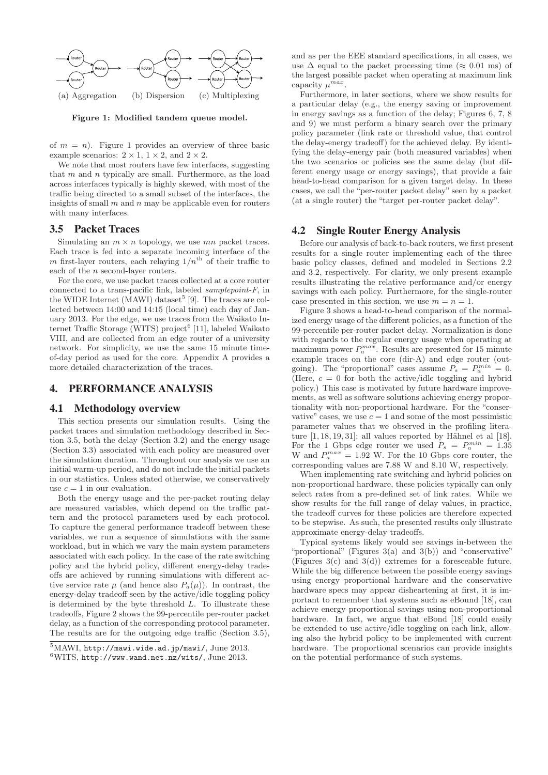

Figure 1: Modified tandem queue model.

of  $m = n$ ). Figure 1 provides an overview of three basic example scenarios:  $2 \times 1$ ,  $1 \times 2$ , and  $2 \times 2$ .

We note that most routers have few interfaces, suggesting that  $m$  and  $n$  typically are small. Furthermore, as the load across interfaces typically is highly skewed, with most of the traffic being directed to a small subset of the interfaces, the insights of small  $m$  and  $n$  may be applicable even for routers with many interfaces.

#### **3.5 Packet Traces**

Simulating an  $m \times n$  topology, we use  $mn$  packet traces. Each trace is fed into a separate incoming interface of the  $m$  first-layer routers, each relaying  $1/n^{\text{th}}$  of their traffic to each of the n second-layer routers.

For the core, we use packet traces collected at a core router connected to a trans-pacific link, labeled *samplepoint-F*, in the WIDE Internet (MAWI) dataset<sup>5</sup> [9]. The traces are collected between 14:00 and 14:15 (local time) each day of January 2013. For the edge, we use traces from the Waikato Internet Traffic Storage (WITS) project<sup>6</sup> [11], labeled Waikato VIII, and are collected from an edge router of a university network. For simplicity, we use the same 15 minute timeof-day period as used for the core. Appendix A provides a more detailed characterization of the traces.

# **4. PERFORMANCE ANALYSIS**

#### **4.1 Methodology overview**

This section presents our simulation results. Using the packet traces and simulation methodology described in Section 3.5, both the delay (Section 3.2) and the energy usage (Section 3.3) associated with each policy are measured over the simulation duration. Throughout our analysis we use an initial warm-up period, and do not include the initial packets in our statistics. Unless stated otherwise, we conservatively use  $c = 1$  in our evaluation.

Both the energy usage and the per-packet routing delay are measured variables, which depend on the traffic pattern and the protocol parameters used by each protocol. To capture the general performance tradeoff between these variables, we run a sequence of simulations with the same workload, but in which we vary the main system parameters associated with each policy. In the case of the rate switching policy and the hybrid policy, different energy-delay tradeoffs are achieved by running simulations with different active service rate  $\mu$  (and hence also  $P_a(\mu)$ ). In contrast, the energy-delay tradeoff seen by the active/idle toggling policy is determined by the byte threshold  $L$ . To illustrate these tradeoffs, Figure 2 shows the 99-percentile per-router packet delay, as a function of the corresponding protocol parameter. The results are for the outgoing edge traffic (Section 3.5), and as per the EEE standard specifications, in all cases, we use  $\Delta$  equal to the packet processing time ( $\approx 0.01$  ms) of the largest possible packet when operating at maximum link capacity  $\mu^{max}$ .

Furthermore, in later sections, where we show results for a particular delay (e.g., the energy saving or improvement in energy savings as a function of the delay; Figures 6, 7, 8 and 9) we must perform a binary search over the primary policy parameter (link rate or threshold value, that control the delay-energy tradeoff) for the achieved delay. By identifying the delay-energy pair (both measured variables) when the two scenarios or policies see the same delay (but different energy usage or energy savings), that provide a fair head-to-head comparison for a given target delay. In these cases, we call the "per-router packet delay" seen by a packet (at a single router) the "target per-router packet delay".

#### **4.2 Single Router Energy Analysis**

Before our analysis of back-to-back routers, we first present results for a single router implementing each of the three basic policy classes, defined and modeled in Sections 2.2 and 3.2, respectively. For clarity, we only present example results illustrating the relative performance and/or energy savings with each policy. Furthermore, for the single-router case presented in this section, we use  $m = n = 1$ .

Figure 3 shows a head-to-head comparison of the normalized energy usage of the different policies, as a function of the 99-percentile per-router packet delay. Normalization is done with regards to the regular energy usage when operating at maximum power  $P_a^{max}$ . Results are presented for 15 minute example traces on the core (dir-A) and edge router (outgoing). The "proportional" cases assume  $P_s = P_a^{min} = 0$ . (Here,  $c = 0$  for both the active/idle toggling and hybrid policy.) This case is motivated by future hardware improvements, as well as software solutions achieving energy proportionality with non-proportional hardware. For the "conservative" cases, we use  $c = 1$  and some of the most pessimistic parameter values that we observed in the profiling literature  $[1, 18, 19, 31]$ ; all values reported by Hähnel et al  $[18]$ . For the 1 Gbps edge router we used  $P_s = P_a^{min} = 1.35$ W and  $P_a^{max} = 1.92$  W. For the 10 Gbps core router, the corresponding values are 7.88 W and 8.10 W, respectively.

When implementing rate switching and hybrid policies on non-proportional hardware, these policies typically can only select rates from a pre-defined set of link rates. While we show results for the full range of delay values, in practice, the tradeoff curves for these policies are therefore expected to be stepwise. As such, the presented results only illustrate approximate energy-delay tradeoffs.

Typical systems likely would see savings in-between the "proportional" (Figures 3(a) and 3(b)) and "conservative" (Figures  $3(c)$  and  $3(d)$ ) extremes for a foreseeable future. While the big difference between the possible energy savings using energy proportional hardware and the conservative hardware specs may appear disheartening at first, it is important to remember that systems such as eBound [18], can achieve energy proportional savings using non-proportional hardware. In fact, we argue that eBond [18] could easily be extended to use active/idle toggling on each link, allowing also the hybrid policy to be implemented with current hardware. The proportional scenarios can provide insights on the potential performance of such systems.

 $5$ MAWI, http://mawi.wide.ad.jp/mawi/, June 2013.

 $6$ WITS, http://www.wand.net.nz/wits/, June 2013.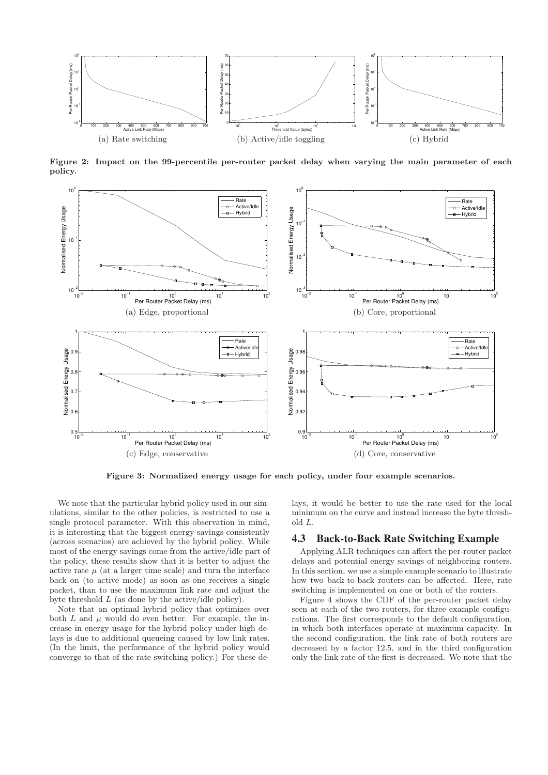

Figure 2: Impact on the 99-percentile per-router packet delay when varying the main parameter of each policy.



Figure 3: Normalized energy usage for each policy, under four example scenarios.

We note that the particular hybrid policy used in our simulations, similar to the other policies, is restricted to use a single protocol parameter. With this observation in mind, it is interesting that the biggest energy savings consistently (across scenarios) are achieved by the hybrid policy. While most of the energy savings come from the active/idle part of the policy, these results show that it is better to adjust the active rate  $\mu$  (at a larger time scale) and turn the interface back on (to active mode) as soon as one receives a single packet, than to use the maximum link rate and adjust the byte threshold  $L$  (as done by the active/idle policy).

Note that an optimal hybrid policy that optimizes over both  $L$  and  $\mu$  would do even better. For example, the increase in energy usage for the hybrid policy under high delays is due to additional queueing caused by low link rates. (In the limit, the performance of the hybrid policy would converge to that of the rate switching policy.) For these delays, it would be better to use the rate used for the local minimum on the curve and instead increase the byte threshold L.

# **4.3 Back-to-Back Rate Switching Example**

Applying ALR techniques can affect the per-router packet delays and potential energy savings of neighboring routers. In this section, we use a simple example scenario to illustrate how two back-to-back routers can be affected. Here, rate switching is implemented on one or both of the routers.

Figure 4 shows the CDF of the per-router packet delay seen at each of the two routers, for three example configurations. The first corresponds to the default configuration, in which both interfaces operate at maximum capacity. In the second configuration, the link rate of both routers are decreased by a factor 12.5, and in the third configuration only the link rate of the first is decreased. We note that the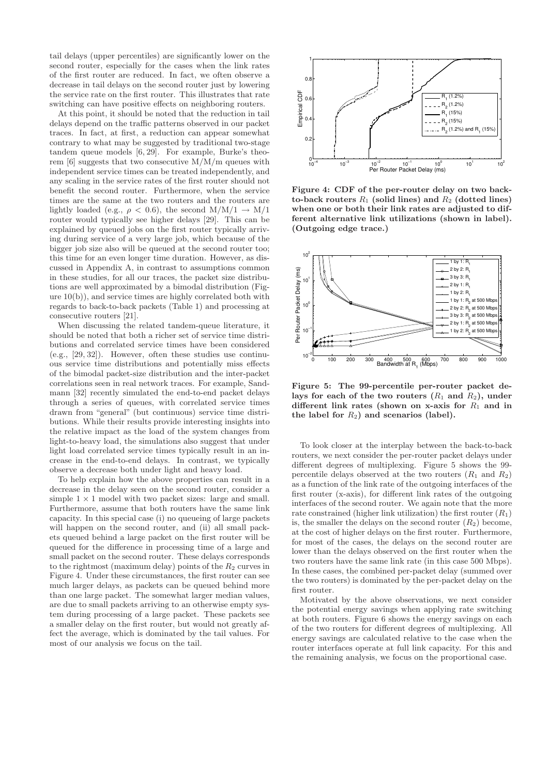tail delays (upper percentiles) are significantly lower on the second router, especially for the cases when the link rates of the first router are reduced. In fact, we often observe a decrease in tail delays on the second router just by lowering the service rate on the first router. This illustrates that rate switching can have positive effects on neighboring routers.

At this point, it should be noted that the reduction in tail delays depend on the traffic patterns observed in our packet traces. In fact, at first, a reduction can appear somewhat contrary to what may be suggested by traditional two-stage tandem queue models [6, 29]. For example, Burke's theorem  $[6]$  suggests that two consecutive  $M/M/m$  queues with independent service times can be treated independently, and any scaling in the service rates of the first router should not benefit the second router. Furthermore, when the service times are the same at the two routers and the routers are lightly loaded (e.g.,  $\rho < 0.6$ ), the second  $M/M/1 \rightarrow M/1$ router would typically see higher delays [29]. This can be explained by queued jobs on the first router typically arriving during service of a very large job, which because of the bigger job size also will be queued at the second router too; this time for an even longer time duration. However, as discussed in Appendix A, in contrast to assumptions common in these studies, for all our traces, the packet size distributions are well approximated by a bimodal distribution (Figure 10(b)), and service times are highly correlated both with regards to back-to-back packets (Table 1) and processing at consecutive routers [21].

When discussing the related tandem-queue literature, it should be noted that both a richer set of service time distributions and correlated service times have been considered (e.g., [29, 32]). However, often these studies use continuous service time distributions and potentially miss effects of the bimodal packet-size distribution and the inter-packet correlations seen in real network traces. For example, Sandmann [32] recently simulated the end-to-end packet delays through a series of queues, with correlated service times drawn from "general" (but continuous) service time distributions. While their results provide interesting insights into the relative impact as the load of the system changes from light-to-heavy load, the simulations also suggest that under light load correlated service times typically result in an increase in the end-to-end delays. In contrast, we typically observe a decrease both under light and heavy load.

To help explain how the above properties can result in a decrease in the delay seen on the second router, consider a simple  $1 \times 1$  model with two packet sizes: large and small. Furthermore, assume that both routers have the same link capacity. In this special case (i) no queueing of large packets will happen on the second router, and (ii) all small packets queued behind a large packet on the first router will be queued for the difference in processing time of a large and small packet on the second router. These delays corresponds to the rightmost (maximum delay) points of the  $R_2$  curves in Figure 4. Under these circumstances, the first router can see much larger delays, as packets can be queued behind more than one large packet. The somewhat larger median values, are due to small packets arriving to an otherwise empty system during processing of a large packet. These packets see a smaller delay on the first router, but would not greatly affect the average, which is dominated by the tail values. For most of our analysis we focus on the tail.



Figure 4: CDF of the per-router delay on two backto-back routers  $R_1$  (solid lines) and  $R_2$  (dotted lines) when one or both their link rates are adjusted to different alternative link utilizations (shown in label). (Outgoing edge trace.)



Figure 5: The 99-percentile per-router packet delays for each of the two routers  $(R_1 \text{ and } R_2)$ , under different link rates (shown on x-axis for  $R_1$  and in the label for  $R_2$ ) and scenarios (label).

To look closer at the interplay between the back-to-back routers, we next consider the per-router packet delays under different degrees of multiplexing. Figure 5 shows the 99 percentile delays observed at the two routers  $(R_1 \text{ and } R_2)$ as a function of the link rate of the outgoing interfaces of the first router (x-axis), for different link rates of the outgoing interfaces of the second router. We again note that the more rate constrained (higher link utilization) the first router  $(R_1)$ is, the smaller the delays on the second router  $(R_2)$  become, at the cost of higher delays on the first router. Furthermore, for most of the cases, the delays on the second router are lower than the delays observed on the first router when the two routers have the same link rate (in this case 500 Mbps). In these cases, the combined per-packet delay (summed over the two routers) is dominated by the per-packet delay on the first router.

Motivated by the above observations, we next consider the potential energy savings when applying rate switching at both routers. Figure 6 shows the energy savings on each of the two routers for different degrees of multiplexing. All energy savings are calculated relative to the case when the router interfaces operate at full link capacity. For this and the remaining analysis, we focus on the proportional case.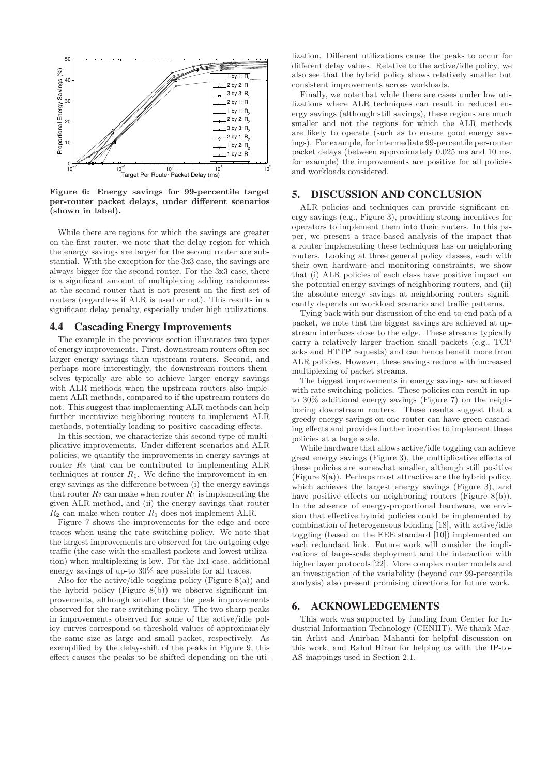

Figure 6: Energy savings for 99-percentile target per-router packet delays, under different scenarios (shown in label).

While there are regions for which the savings are greater on the first router, we note that the delay region for which the energy savings are larger for the second router are substantial. With the exception for the 3x3 case, the savings are always bigger for the second router. For the 3x3 case, there is a significant amount of multiplexing adding randomness at the second router that is not present on the first set of routers (regardless if ALR is used or not). This results in a significant delay penalty, especially under high utilizations.

#### **4.4 Cascading Energy Improvements**

The example in the previous section illustrates two types of energy improvements. First, downstream routers often see larger energy savings than upstream routers. Second, and perhaps more interestingly, the downstream routers themselves typically are able to achieve larger energy savings with ALR methods when the upstream routers also implement ALR methods, compared to if the upstream routers do not. This suggest that implementing ALR methods can help further incentivize neighboring routers to implement ALR methods, potentially leading to positive cascading effects.

In this section, we characterize this second type of multiplicative improvements. Under different scenarios and ALR policies, we quantify the improvements in energy savings at router  $R_2$  that can be contributed to implementing ALR techniques at router  $R_1$ . We define the improvement in energy savings as the difference between (i) the energy savings that router  $R_2$  can make when router  $R_1$  is implementing the given ALR method, and (ii) the energy savings that router  $R_2$  can make when router  $R_1$  does not implement ALR.

Figure 7 shows the improvements for the edge and core traces when using the rate switching policy. We note that the largest improvements are observed for the outgoing edge traffic (the case with the smallest packets and lowest utilization) when multiplexing is low. For the 1x1 case, additional energy savings of up-to 30% are possible for all traces.

Also for the active/idle toggling policy (Figure  $8(a)$ ) and the hybrid policy (Figure 8(b)) we observe significant improvements, although smaller than the peak improvements observed for the rate switching policy. The two sharp peaks in improvements observed for some of the active/idle policy curves correspond to threshold values of approximately the same size as large and small packet, respectively. As exemplified by the delay-shift of the peaks in Figure 9, this effect causes the peaks to be shifted depending on the utilization. Different utilizations cause the peaks to occur for different delay values. Relative to the active/idle policy, we also see that the hybrid policy shows relatively smaller but consistent improvements across workloads.

Finally, we note that while there are cases under low utilizations where ALR techniques can result in reduced energy savings (although still savings), these regions are much smaller and not the regions for which the ALR methods are likely to operate (such as to ensure good energy savings). For example, for intermediate 99-percentile per-router packet delays (between approximately 0.025 ms and 10 ms, for example) the improvements are positive for all policies and workloads considered.

# **5. DISCUSSION AND CONCLUSION**

ALR policies and techniques can provide significant energy savings (e.g., Figure 3), providing strong incentives for operators to implement them into their routers. In this paper, we present a trace-based analysis of the impact that a router implementing these techniques has on neighboring routers. Looking at three general policy classes, each with their own hardware and monitoring constraints, we show that (i) ALR policies of each class have positive impact on the potential energy savings of neighboring routers, and (ii) the absolute energy savings at neighboring routers significantly depends on workload scenario and traffic patterns.

Tying back with our discussion of the end-to-end path of a packet, we note that the biggest savings are achieved at upstream interfaces close to the edge. These streams typically carry a relatively larger fraction small packets (e.g., TCP acks and HTTP requests) and can hence benefit more from ALR policies. However, these savings reduce with increased multiplexing of packet streams.

The biggest improvements in energy savings are achieved with rate switching policies. These policies can result in upto 30% additional energy savings (Figure 7) on the neighboring downstream routers. These results suggest that a greedy energy savings on one router can have green cascading effects and provides further incentive to implement these policies at a large scale.

While hardware that allows active/idle toggling can achieve great energy savings (Figure 3), the multiplicative effects of these policies are somewhat smaller, although still positive (Figure 8(a)). Perhaps most attractive are the hybrid policy, which achieves the largest energy savings (Figure 3), and have positive effects on neighboring routers (Figure 8(b)). In the absence of energy-proportional hardware, we envision that effective hybrid policies could be implemented by combination of heterogeneous bonding [18], with active/idle toggling (based on the EEE standard [10]) implemented on each redundant link. Future work will consider the implications of large-scale deployment and the interaction with higher layer protocols [22]. More complex router models and an investigation of the variability (beyond our 99-percentile analysis) also present promising directions for future work.

#### **6. ACKNOWLEDGEMENTS**

This work was supported by funding from Center for Industrial Information Technology (CENIIT). We thank Martin Arlitt and Anirban Mahanti for helpful discussion on this work, and Rahul Hiran for helping us with the IP-to-AS mappings used in Section 2.1.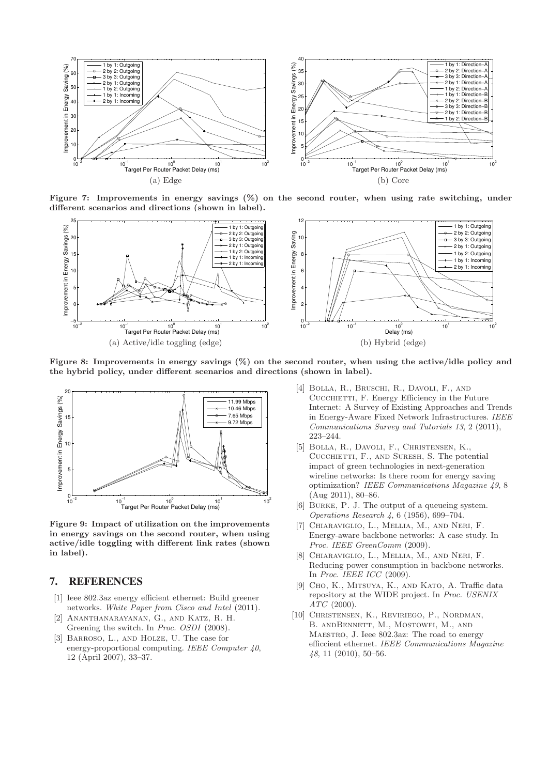

Figure 7: Improvements in energy savings (%) on the second router, when using rate switching, under different scenarios and directions (shown in label).



Figure 8: Improvements in energy savings (%) on the second router, when using the active/idle policy and the hybrid policy, under different scenarios and directions (shown in label).



Figure 9: Impact of utilization on the improvements in energy savings on the second router, when using active/idle toggling with different link rates (shown in label).

# **7. REFERENCES**

- [1] Ieee 802.3az energy efficient ethernet: Build greener networks. *White Paper from Cisco and Intel* (2011).
- [2] Ananthanarayanan, G., and Katz, R. H. Greening the switch. In *Proc. OSDI* (2008).
- [3] BARROSO, L., AND HOLZE, U. The case for energy-proportional computing. *IEEE Computer 40*, 12 (April 2007), 33–37.
- [4] Bolla, R., Bruschi, R., Davoli, F., and CUCCHIETTI, F. Energy Efficiency in the Future Internet: A Survey of Existing Approaches and Trends in Energy-Aware Fixed Network Infrastructures. *IEEE Communications Survey and Tutorials 13*, 2 (2011), 223–244.
- [5] Bolla, R., Davoli, F., Christensen, K., CUCCHIETTI, F., AND SURESH, S. The potential impact of green technologies in next-generation wireline networks: Is there room for energy saving optimization? *IEEE Communications Magazine 49*, 8 (Aug 2011), 80–86.
- [6] Burke, P. J. The output of a queueing system. *Operations Research 4*, 6 (1956), 699–704.
- [7] Chiaraviglio, L., Mellia, M., and Neri, F. Energy-aware backbone networks: A case study. In *Proc. IEEE GreenComm* (2009).
- [8] Chiaraviglio, L., Mellia, M., and Neri, F. Reducing power consumption in backbone networks. In *Proc. IEEE ICC* (2009).
- [9] Cho, K., Mitsuya, K., and Kato, A. Traffic data repository at the WIDE project. In *Proc. USENIX ATC* (2000).
- [10] Christensen, K., Reviriego, P., Nordman, B. ANDBENNETT, M., MOSTOWFI, M., AND Maestro, J. Ieee 802.3az: The road to energy efficcient ethernet. *IEEE Communications Magazine 48*, 11 (2010), 50–56.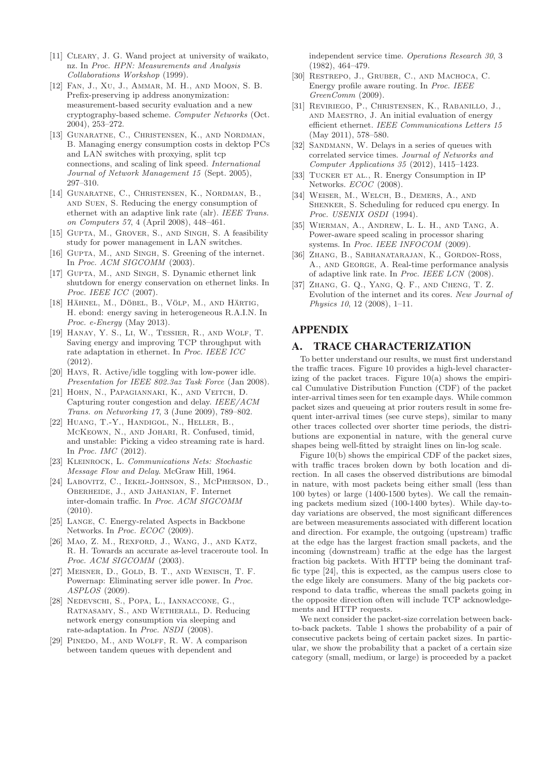- [11] CLEARY, J. G. Wand project at university of waikato, nz. In *Proc. HPN: Measurements and Analysis Collaborations Workshop* (1999).
- [12] Fan, J., Xu, J., Ammar, M. H., and Moon, S. B. Prefix-preserving ip address anonymization: measurement-based security evaluation and a new cryptography-based scheme. *Computer Networks* (Oct. 2004), 253–272.
- [13] Gunaratne, C., Christensen, K., and Nordman, B. Managing energy consumption costs in dektop PCs and LAN switches with proxying, split tcp connections, and scaling of link speed. *International Journal of Network Management 15* (Sept. 2005), 297–310.
- [14] Gunaratne, C., Christensen, K., Nordman, B., and Suen, S. Reducing the energy consumption of ethernet with an adaptive link rate (alr). *IEEE Trans. on Computers 57*, 4 (April 2008), 448–461.
- [15] GUPTA, M., GROVER, S., AND SINGH, S. A feasibility study for power management in LAN switches.
- [16] GUPTA, M., AND SINGH, S. Greening of the internet. In *Proc. ACM SIGCOMM* (2003).
- [17] GUPTA, M., AND SINGH, S. Dynamic ethernet link shutdown for energy conservation on ethernet links. In *Proc. IEEE ICC* (2007).
- $[18]$  HÄHNEL, M., DÖBEL, B., VÖLP, M., AND HÄRTIG, H. ebond: energy saving in heterogeneous R.A.I.N. In *Proc. e-Energy* (May 2013).
- [19] Hanay, Y. S., Li, W., Tessier, R., and Wolf, T. Saving energy and improving TCP throughput with rate adaptation in ethernet. In *Proc. IEEE ICC* (2012).
- [20] Hays, R. Active/idle toggling with low-power idle. *Presentation for IEEE 802.3az Task Force* (Jan 2008).
- [21] Hohn, N., Papagiannaki, K., and Veitch, D. Capturing router congestion and delay. *IEEE/ACM Trans. on Networking 17*, 3 (June 2009), 789–802.
- [22] Huang, T.-Y., Handigol, N., Heller, B., McKeown, N., and Johari, R. Confused, timid, and unstable: Picking a video streaming rate is hard. In *Proc. IMC* (2012).
- [23] Kleinrock, L. *Communications Nets: Stochastic Message Flow and Delay*. McGraw Hill, 1964.
- [24] Labovitz, C., Iekel-Johnson, S., McPherson, D., Oberheide, J., and Jahanian, F. Internet inter-domain traffic. In *Proc. ACM SIGCOMM*  $(2010).$
- [25] Lange, C. Energy-related Aspects in Backbone Networks. In *Proc. ECOC* (2009).
- [26] Mao, Z. M., Rexford, J., Wang, J., and Katz, R. H. Towards an accurate as-level traceroute tool. In *Proc. ACM SIGCOMM* (2003).
- [27] Meisner, D., Gold, B. T., and Wenisch, T. F. Powernap: Eliminating server idle power. In *Proc. ASPLOS* (2009).
- [28] Nedevschi, S., Popa, L., Iannaccone, G., Ratnasamy, S., and Wetherall, D. Reducing network energy consumption via sleeping and rate-adaptation. In *Proc. NSDI* (2008).
- [29] Pinedo, M., and Wolff, R. W. A comparison between tandem queues with dependent and

independent service time. *Operations Research 30*, 3 (1982), 464–479.

- [30] Restrepo, J., Gruber, C., and Machoca, C. Energy profile aware routing. In *Proc. IEEE GreenComm* (2009).
- [31] Reviriego, P., Christensen, K., Rabanillo, J., and Maestro, J. An initial evaluation of energy efficient ethernet. *IEEE Communications Letters 15* (May 2011), 578–580.
- [32] SANDMANN, W. Delays in a series of queues with correlated service times. *Journal of Networks and Computer Applications 35* (2012), 1415–1423.
- [33] TUCKER ET AL., R. Energy Consumption in IP Networks. *ECOC* (2008).
- [34] Weiser, M., Welch, B., Demers, A., and Shenker, S. Scheduling for reduced cpu energy. In *Proc. USENIX OSDI* (1994).
- [35] Wierman, A., Andrew, L. L. H., and Tang, A. Power-aware speed scaling in processor sharing systems. In *Proc. IEEE INFOCOM* (2009).
- [36] Zhang, B., Sabhanatarajan, K., Gordon-Ross, A., and George, A. Real-time performance analysis of adaptive link rate. In *Proc. IEEE LCN* (2008).
- [37] Zhang, G. Q., Yang, Q. F., and Cheng, T. Z. Evolution of the internet and its cores. *New Journal of Physics 10*, 12 (2008), 1–11.

# **APPENDIX**

# **A. TRACE CHARACTERIZATION**

To better understand our results, we must first understand the traffic traces. Figure 10 provides a high-level characterizing of the packet traces. Figure  $10(a)$  shows the empirical Cumulative Distribution Function (CDF) of the packet inter-arrival times seen for ten example days. While common packet sizes and queueing at prior routers result in some frequent inter-arrival times (see curve steps), similar to many other traces collected over shorter time periods, the distributions are exponential in nature, with the general curve shapes being well-fitted by straight lines on lin-log scale.

Figure 10(b) shows the empirical CDF of the packet sizes, with traffic traces broken down by both location and direction. In all cases the observed distributions are bimodal in nature, with most packets being either small (less than 100 bytes) or large (1400-1500 bytes). We call the remaining packets medium sized (100-1400 bytes). While day-today variations are observed, the most significant differences are between measurements associated with different location and direction. For example, the outgoing (upstream) traffic at the edge has the largest fraction small packets, and the incoming (downstream) traffic at the edge has the largest fraction big packets. With HTTP being the dominant traffic type [24], this is expected, as the campus users close to the edge likely are consumers. Many of the big packets correspond to data traffic, whereas the small packets going in the opposite direction often will include TCP acknowledgements and HTTP requests.

We next consider the packet-size correlation between backto-back packets. Table 1 shows the probability of a pair of consecutive packets being of certain packet sizes. In particular, we show the probability that a packet of a certain size category (small, medium, or large) is proceeded by a packet